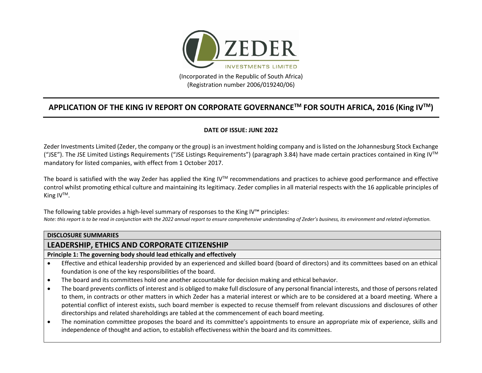

**APPLICATION OF THE KING IV REPORT ON CORPORATE GOVERNANCETM FOR SOUTH AFRICA, 2016 (King IVTM)**

#### **DATE OF ISSUE: JUNE 2022**

Zeder Investments Limited (Zeder, the company or the group) is an investment holding company and is listed on the Johannesburg Stock Exchange ("JSE"). The JSE Limited Listings Requirements ("JSE Listings Requirements") (paragraph 3.84) have made certain practices contained in King IV<sup>TM</sup> mandatory for listed companies, with effect from 1 October 2017.

The board is satisfied with the way Zeder has applied the King IVTM recommendations and practices to achieve good performance and effective control whilst promoting ethical culture and maintaining its legitimacy. Zeder complies in all material respects with the 16 applicable principles of King  $IV^{TM}$ .

The following table provides a high-level summary of responses to the King IV™ principles: *Note: this report is to be read in conjunction with the 2022 annual report to ensure comprehensive understanding of Zeder's business, its environment and related information.*

#### **DISCLOSURE SUMMARIES**

#### **LEADERSHIP, ETHICS AND CORPORATE CITIZENSHIP**

**Principle 1: The governing body should lead ethically and effectively**

- Effective and ethical leadership provided by an experienced and skilled board (board of directors) and its committees based on an ethical foundation is one of the key responsibilities of the board.
- The board and its committees hold one another accountable for decision making and ethical behavior.
- The board prevents conflicts of interest and is obliged to make full disclosure of any personal financial interests, and those of persons related to them, in contracts or other matters in which Zeder has a material interest or which are to be considered at a board meeting. Where a potential conflict of interest exists, such board member is expected to recuse themself from relevant discussions and disclosures of other directorships and related shareholdings are tabled at the commencement of each board meeting.
- The nomination committee proposes the board and its committee's appointments to ensure an appropriate mix of experience, skills and independence of thought and action, to establish effectiveness within the board and its committees.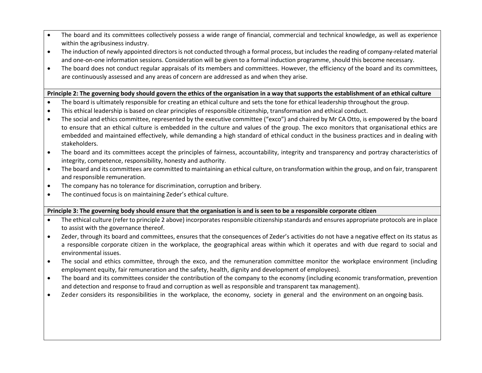- The board and its committees collectively possess a wide range of financial, commercial and technical knowledge, as well as experience within the agribusiness industry.
- The induction of newly appointed directors is not conducted through a formal process, but includes the reading of company-related material and one-on-one information sessions. Consideration will be given to a formal induction programme, should this become necessary.
- The board does not conduct regular appraisals of its members and committees. However, the efficiency of the board and its committees, are continuously assessed and any areas of concern are addressed as and when they arise.

#### **Principle 2: The governing body should govern the ethics of the organisation in a way that supports the establishment of an ethical culture**

- The board is ultimately responsible for creating an ethical culture and sets the tone for ethical leadership throughout the group.
- This ethical leadership is based on clear principles of responsible citizenship, transformation and ethical conduct.
- The social and ethics committee, represented by the executive committee ("exco") and chaired by Mr CA Otto, is empowered by the board to ensure that an ethical culture is embedded in the culture and values of the group. The exco monitors that organisational ethics are embedded and maintained effectively, while demanding a high standard of ethical conduct in the business practices and in dealing with stakeholders.
- The board and its committees accept the principles of fairness, accountability, integrity and transparency and portray characteristics of integrity, competence, responsibility, honesty and authority.
- The board and its committees are committed to maintaining an ethical culture, on transformation within the group, and on fair, transparent and responsible remuneration.
- The company has no tolerance for discrimination, corruption and bribery.
- The continued focus is on maintaining Zeder's ethical culture.

#### **Principle 3: The governing body should ensure that the organisation is and is seen to be a responsible corporate citizen**

- The ethical culture (refer to principle 2 above) incorporates responsible citizenship standards and ensures appropriate protocols are in place to assist with the governance thereof.
- Zeder, through its board and committees, ensures that the consequences of Zeder's activities do not have a negative effect on its status as a responsible corporate citizen in the workplace, the geographical areas within which it operates and with due regard to social and environmental issues.
- The social and ethics committee, through the exco, and the remuneration committee monitor the workplace environment (including employment equity, fair remuneration and the safety, health, dignity and development of employees).
- The board and its committees consider the contribution of the company to the economy (including economic transformation, prevention and detection and response to fraud and corruption as well as responsible and transparent tax management).
- Zeder considers its responsibilities in the workplace, the economy, society in general and the environment on an ongoing basis.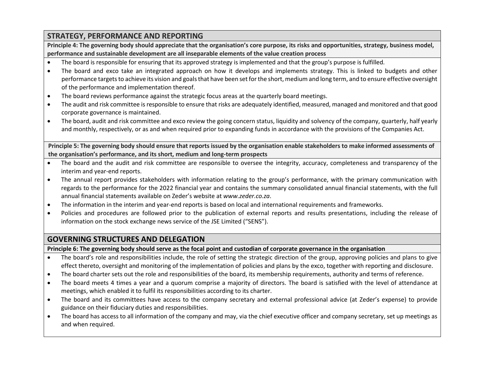## **STRATEGY, PERFORMANCE AND REPORTING**

Principle 4: The governing body should appreciate that the organisation's core purpose, its risks and opportunities, strategy, business model, **performance and sustainable development are all inseparable elements of the value creation process**

- The board is responsible for ensuring that its approved strategy is implemented and that the group's purpose is fulfilled.
- The board and exco take an integrated approach on how it develops and implements strategy. This is linked to budgets and other performance targets to achieve its vision and goals that have been set for the short, medium and long term, and to ensure effective oversight of the performance and implementation thereof.
- The board reviews performance against the strategic focus areas at the quarterly board meetings.
- The audit and risk committee isresponsible to ensure that risks are adequately identified, measured, managed and monitored and that good corporate governance is maintained.
- The board, audit and risk committee and exco review the going concern status, liquidity and solvency of the company, quarterly, half yearly and monthly, respectively, or as and when required prior to expanding funds in accordance with the provisions of the Companies Act.

**Principle 5: The governing body should ensure that reports issued by the organisation enable stakeholders to make informed assessments of the organisation's performance, and its short, medium and long-term prospects**

- The board and the audit and risk committee are responsible to oversee the integrity, accuracy, completeness and transparency of the interim and year-end reports.
- The annual report provides stakeholders with information relating to the group's performance, with the primary communication with regards to the performance for the 2022 financial year and contains the summary consolidated annual financial statements, with the full annual financial statements available on Zeder's website at *www.zeder.co.za*.
- The information in the interim and year-end reports is based on local and international requirements and frameworks.
- Policies and procedures are followed prior to the publication of external reports and results presentations, including the release of information on the stock exchange news service of the JSE Limited ("SENS").

## **GOVERNING STRUCTURES AND DELEGATION**

**Principle 6: The governing body should serve as the focal point and custodian of corporate governance in the organisation**

- The board's role and responsibilities include, the role of setting the strategic direction of the group, approving policies and plans to give effect thereto, oversight and monitoring of the implementation of policies and plans by the exco, together with reporting and disclosure.
- The board charter sets out the role and responsibilities of the board, its membership requirements, authority and terms of reference.
- The board meets 4 times a year and a quorum comprise a majority of directors. The board is satisfied with the level of attendance at meetings, which enabled it to fulfil its responsibilities according to its charter.
- The board and its committees have access to the company secretary and external professional advice (at Zeder's expense) to provide guidance on their fiduciary duties and responsibilities.
- The board has access to all information of the company and may, via the chief executive officer and company secretary, set up meetings as and when required.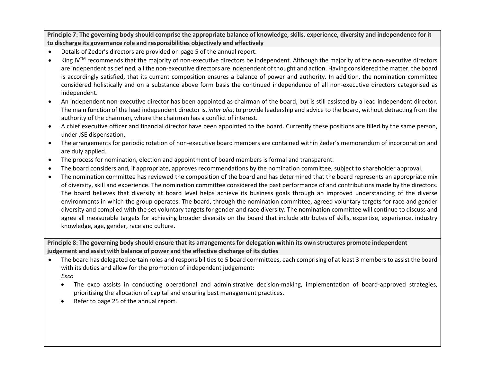Principle 7: The governing body should comprise the appropriate balance of knowledge, skills, experience, diversity and independence for it **to discharge its governance role and responsibilities objectively and effectively**

- Details of Zeder's directors are provided on page 5 of the annual report.
- King IV<sup>TM</sup> recommends that the majority of non-executive directors be independent. Although the majority of the non-executive directors are independent as defined, all the non-executive directors are independent of thought and action. Having considered the matter, the board is accordingly satisfied, that its current composition ensures a balance of power and authority. In addition, the nomination committee considered holistically and on a substance above form basis the continued independence of all non-executive directors categorised as independent.
- An independent non-executive director has been appointed as chairman of the board, but is still assisted by a lead independent director. The main function of the lead independent director is, *inter alia*, to provide leadership and advice to the board, without detracting from the authority of the chairman, where the chairman has a conflict of interest.
- A chief executive officer and financial director have been appointed to the board. Currently these positions are filled by the same person, under JSE dispensation.
- The arrangements for periodic rotation of non-executive board members are contained within Zeder's memorandum of incorporation and are duly applied.
- The process for nomination, election and appointment of board members is formal and transparent.
- The board considers and, if appropriate, approves recommendations by the nomination committee, subject to shareholder approval.
- The nomination committee has reviewed the composition of the board and has determined that the board represents an appropriate mix of diversity, skill and experience. The nomination committee considered the past performance of and contributions made by the directors. The board believes that diversity at board level helps achieve its business goals through an improved understanding of the diverse environments in which the group operates. The board, through the nomination committee, agreed voluntary targets for race and gender diversity and complied with the set voluntary targets for gender and race diversity. The nomination committee will continue to discuss and agree all measurable targets for achieving broader diversity on the board that include attributes of skills, expertise, experience, industry knowledge, age, gender, race and culture.

Principle 8: The governing body should ensure that its arrangements for delegation within its own structures promote independent **judgement and assist with balance of power and the effective discharge of its duties**

- The board has delegated certain roles and responsibilities to 5 board committees, each comprising of at least 3 members to assist the board with its duties and allow for the promotion of independent judgement: *Exco*
	- The exco assists in conducting operational and administrative decision-making, implementation of board-approved strategies, prioritising the allocation of capital and ensuring best management practices.
	- Refer to page 25 of the annual report.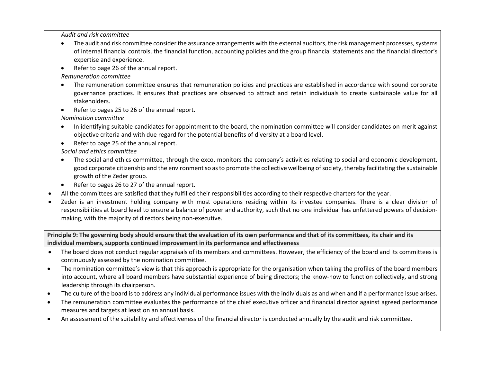*Audit and risk committee*

- The audit and risk committee consider the assurance arrangements with the external auditors, the risk management processes, systems of internal financial controls, the financial function, accounting policies and the group financial statements and the financial director's expertise and experience.
- Refer to page 26 of the annual report.

*Remuneration committee*

- The remuneration committee ensures that remuneration policies and practices are established in accordance with sound corporate governance practices. It ensures that practices are observed to attract and retain individuals to create sustainable value for all stakeholders.
- Refer to pages 25 to 26 of the annual report.

*Nomination committee*

- In identifying suitable candidates for appointment to the board, the nomination committee will consider candidates on merit against objective criteria and with due regard for the potential benefits of diversity at a board level.
- Refer to page 25 of the annual report.

*Social and ethics committee*

- The social and ethics committee, through the exco, monitors the company's activities relating to social and economic development, good corporate citizenship and the environment so as to promote the collective wellbeing of society, thereby facilitating the sustainable growth of the Zeder group.
- Refer to pages 26 to 27 of the annual report.
- All the committees are satisfied that they fulfilled their responsibilities according to their respective charters for the year.
- Zeder is an investment holding company with most operations residing within its investee companies. There is a clear division of responsibilities at board level to ensure a balance of power and authority, such that no one individual has unfettered powers of decisionmaking, with the majority of directors being non-executive.

Principle 9: The governing body should ensure that the evaluation of its own performance and that of its committees, its chair and its **individual members, supports continued improvement in its performance and effectiveness**

- The board does not conduct regular appraisals of its members and committees. However, the efficiency of the board and its committees is continuously assessed by the nomination committee.
- The nomination committee's view is that this approach is appropriate for the organisation when taking the profiles of the board members into account, where all board members have substantial experience of being directors; the know-how to function collectively, and strong leadership through its chairperson.
- The culture of the board is to address any individual performance issues with the individuals as and when and if a performance issue arises.
- The remuneration committee evaluates the performance of the chief executive officer and financial director against agreed performance measures and targets at least on an annual basis.
- An assessment of the suitability and effectiveness of the financial director is conducted annually by the audit and risk committee.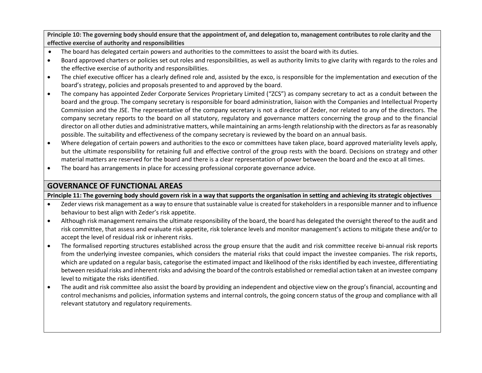Principle 10: The governing body should ensure that the appointment of, and delegation to, management contributes to role clarity and the **effective exercise of authority and responsibilities**

- The board has delegated certain powers and authorities to the committees to assist the board with its duties.
- Board approved charters or policies set out roles and responsibilities, as well as authority limits to give clarity with regards to the roles and the effective exercise of authority and responsibilities.
- The chief executive officer has a clearly defined role and, assisted by the exco, is responsible for the implementation and execution of the board's strategy, policies and proposals presented to and approved by the board.
- The company has appointed Zeder Corporate Services Proprietary Limited ("ZCS") as company secretary to act as a conduit between the board and the group. The company secretary is responsible for board administration, liaison with the Companies and Intellectual Property Commission and the JSE. The representative of the company secretary is not a director of Zeder, nor related to any of the directors. The company secretary reports to the board on all statutory, regulatory and governance matters concerning the group and to the financial director on all other duties and administrative matters, while maintaining an arms-length relationship with the directors as far as reasonably possible. The suitability and effectiveness of the company secretary is reviewed by the board on an annual basis.
- Where delegation of certain powers and authorities to the exco or committees have taken place, board approved materiality levels apply, but the ultimate responsibility for retaining full and effective control of the group rests with the board. Decisions on strategy and other material matters are reserved for the board and there is a clear representation of power between the board and the exco at all times.
- The board has arrangements in place for accessing professional corporate governance advice.

# **GOVERNANCE OF FUNCTIONAL AREAS**

**Principle 11: The governing body should govern risk in a way that supports the organisation in setting and achieving its strategic objectives**

- Zeder views risk management as a way to ensure that sustainable value is created for stakeholders in a responsible manner and to influence behaviour to best align with Zeder's risk appetite.
- Although risk management remains the ultimate responsibility of the board, the board has delegated the oversight thereof to the audit and risk committee, that assess and evaluate risk appetite, risk tolerance levels and monitor management's actions to mitigate these and/or to accept the level of residual risk or inherent risks.
- The formalised reporting structures established across the group ensure that the audit and risk committee receive bi-annual risk reports from the underlying investee companies, which considers the material risks that could impact the investee companies. The risk reports, which are updated on a regular basis, categorise the estimated impact and likelihood of the risks identified by each investee, differentiating between residual risks and inherent risks and advising the board of the controls established or remedial action taken at an investee company level to mitigate the risks identified.
- The audit and risk committee also assist the board by providing an independent and objective view on the group's financial, accounting and control mechanisms and policies, information systems and internal controls, the going concern status of the group and compliance with all relevant statutory and regulatory requirements.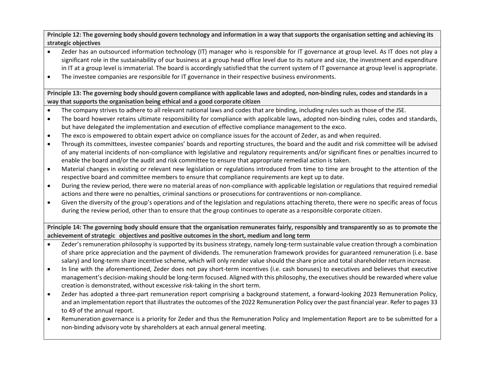Principle 12: The governing body should govern technology and information in a way that supports the organisation setting and achieving its **strategic objectives**

- Zeder has an outsourced information technology (IT) manager who is responsible for IT governance at group level. As IT does not play a significant role in the sustainability of our business at a group head office level due to its nature and size, the investment and expenditure in IT at a group level is immaterial. The board is accordingly satisfied that the current system of IT governance at group level is appropriate.
- The investee companies are responsible for IT governance in their respective business environments.

Principle 13: The governing body should govern compliance with applicable laws and adopted, non-binding rules, codes and standards in a **way that supports the organisation being ethical and a good corporate citizen**

- The company strives to adhere to all relevant national laws and codes that are binding, including rules such as those of the JSE.
- The board however retains ultimate responsibility for compliance with applicable laws, adopted non-binding rules, codes and standards, but have delegated the implementation and execution of effective compliance management to the exco.
- The exco is empowered to obtain expert advice on compliance issues for the account of Zeder, as and when required.
- Through its committees, investee companies' boards and reporting structures, the board and the audit and risk committee will be advised of any material incidents of non-compliance with legislative and regulatory requirements and/or significant fines or penalties incurred to enable the board and/or the audit and risk committee to ensure that appropriate remedial action is taken.
- Material changes in existing or relevant new legislation or regulations introduced from time to time are brought to the attention of the respective board and committee members to ensure that compliance requirements are kept up to date.
- During the review period, there were no material areas of non-compliance with applicable legislation or regulations that required remedial actions and there were no penalties, criminal sanctions or prosecutions for contraventions or non-compliance.
- Given the diversity of the group's operations and of the legislation and regulations attaching thereto, there were no specific areas of focus during the review period, other than to ensure that the group continues to operate as a responsible corporate citizen.

Principle 14: The governing body should ensure that the organisation remunerates fairly, responsibly and transparently so as to promote the **achievement of strategic objectives and positive outcomes in the short, medium and long term**

- Zeder's remuneration philosophy is supported by its business strategy, namely long-term sustainable value creation through a combination of share price appreciation and the payment of dividends. The remuneration framework provides for guaranteed remuneration (i.e. base salary) and long-term share incentive scheme, which will only render value should the share price and total shareholder return increase.
- In line with the aforementioned, Zeder does not pay short-term incentives (i.e. cash bonuses) to executives and believes that executive management's decision-making should be long-term focused. Aligned with this philosophy, the executives should be rewarded where value creation is demonstrated, without excessive risk-taking in the short term.
- Zeder has adopted a three-part remuneration report comprising a background statement, a forward-looking 2023 Remuneration Policy, and an implementation report that illustrates the outcomes of the 2022 Remuneration Policy over the past financial year. Refer to pages 33 to 49 of the annual report.
- Remuneration governance is a priority for Zeder and thus the Remuneration Policy and Implementation Report are to be submitted for a non-binding advisory vote by shareholders at each annual general meeting.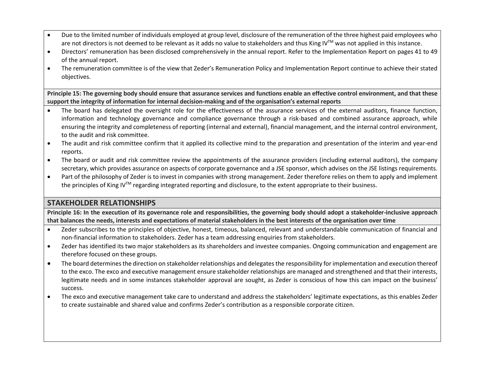- Due to the limited number of individuals employed at group level, disclosure of the remuneration of the three highest paid employees who are not directors is not deemed to be relevant as it adds no value to stakeholders and thus King IV™ was not applied in this instance.
- Directors' remuneration has been disclosed comprehensively in the annual report. Refer to the Implementation Report on pages 41 to 49 of the annual report.
- The remuneration committee is of the view that Zeder's Remuneration Policy and Implementation Report continue to achieve their stated objectives.

Principle 15: The governing body should ensure that assurance services and functions enable an effective control environment, and that these **support the integrity of information for internal decision-making and of the organisation's external reports**

- The board has delegated the oversight role for the effectiveness of the assurance services of the external auditors, finance function, information and technology governance and compliance governance through a risk-based and combined assurance approach, while ensuring the integrity and completeness of reporting (internal and external), financial management, and the internal control environment, to the audit and risk committee.
- The audit and risk committee confirm that it applied its collective mind to the preparation and presentation of the interim and year-end reports.
- The board or audit and risk committee review the appointments of the assurance providers (including external auditors), the company secretary, which provides assurance on aspects of corporate governance and a JSE sponsor, which advises on the JSE listings requirements.
- Part of the philosophy of Zeder is to invest in companies with strong management. Zeder therefore relies on them to apply and implement the principles of King IV<sup>TM</sup> regarding integrated reporting and disclosure, to the extent appropriate to their business.

### **STAKEHOLDER RELATIONSHIPS**

Principle 16: In the execution of its governance role and responsibilities, the governing body should adopt a stakeholder-inclusive approach **that balances the needs, interests and expectations of material stakeholders in the best interests of the organisation over time**

- Zeder subscribes to the principles of objective, honest, timeous, balanced, relevant and understandable communication of financial and non-financial information to stakeholders. Zeder has a team addressing enquiries from stakeholders.
- Zeder has identified its two major stakeholders as its shareholders and investee companies. Ongoing communication and engagement are therefore focused on these groups.
- The board determines the direction on stakeholder relationships and delegates the responsibility for implementation and execution thereof to the exco. The exco and executive management ensure stakeholder relationships are managed and strengthened and that their interests, legitimate needs and in some instances stakeholder approval are sought, as Zeder is conscious of how this can impact on the business' success.
- The exco and executive management take care to understand and address the stakeholders' legitimate expectations, as this enables Zeder to create sustainable and shared value and confirms Zeder's contribution as a responsible corporate citizen.